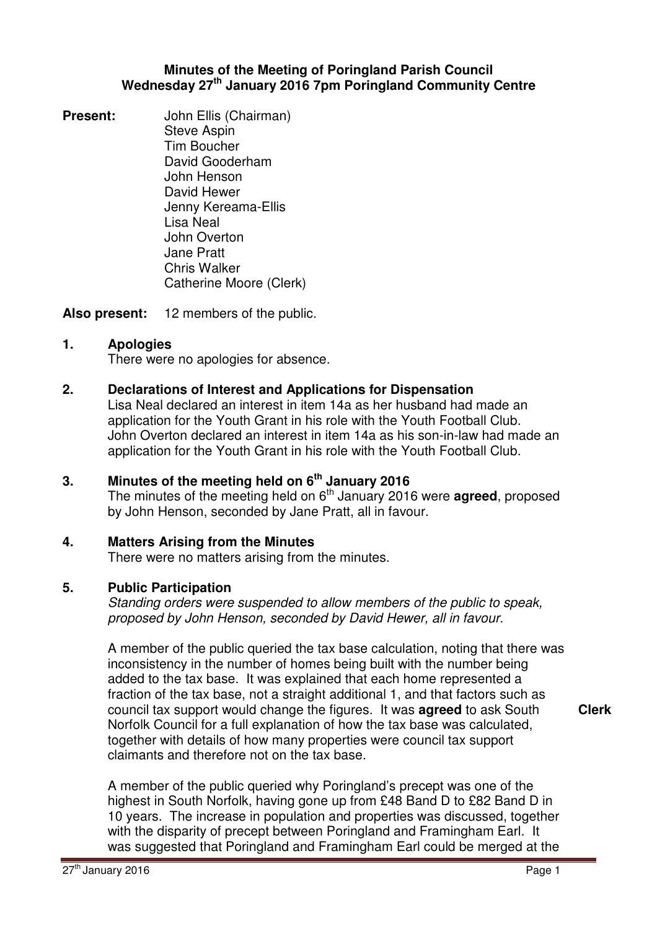### **Minutes of the Meeting of Poringland Parish Council Wednesday 27th January 2016 7pm Poringland Community Centre**

**Present:** John Ellis (Chairman) Steve Aspin Tim Boucher David Gooderham John Henson David Hewer Jenny Kereama-Ellis Lisa Neal John Overton Jane Pratt Chris Walker Catherine Moore (Clerk)

**Also present:** 12 members of the public.

# **1. Apologies**

There were no apologies for absence.

# **2. Declarations of Interest and Applications for Dispensation**

Lisa Neal declared an interest in item 14a as her husband had made an application for the Youth Grant in his role with the Youth Football Club. John Overton declared an interest in item 14a as his son-in-law had made an application for the Youth Grant in his role with the Youth Football Club.

# **3. Minutes of the meeting held on 6 th January 2016**

The minutes of the meeting held on 6<sup>th</sup> January 2016 were **agreed**, proposed by John Henson, seconded by Jane Pratt, all in favour.

# **4. Matters Arising from the Minutes**

There were no matters arising from the minutes.

# **5. Public Participation**

Standing orders were suspended to allow members of the public to speak, proposed by John Henson, seconded by David Hewer, all in favour.

A member of the public queried the tax base calculation, noting that there was inconsistency in the number of homes being built with the number being added to the tax base. It was explained that each home represented a fraction of the tax base, not a straight additional 1, and that factors such as council tax support would change the figures. It was **agreed** to ask South Norfolk Council for a full explanation of how the tax base was calculated, together with details of how many properties were council tax support claimants and therefore not on the tax base.

A member of the public queried why Poringland's precept was one of the highest in South Norfolk, having gone up from £48 Band D to £82 Band D in 10 years. The increase in population and properties was discussed, together with the disparity of precept between Poringland and Framingham Earl. It was suggested that Poringland and Framingham Earl could be merged at the **Clerk**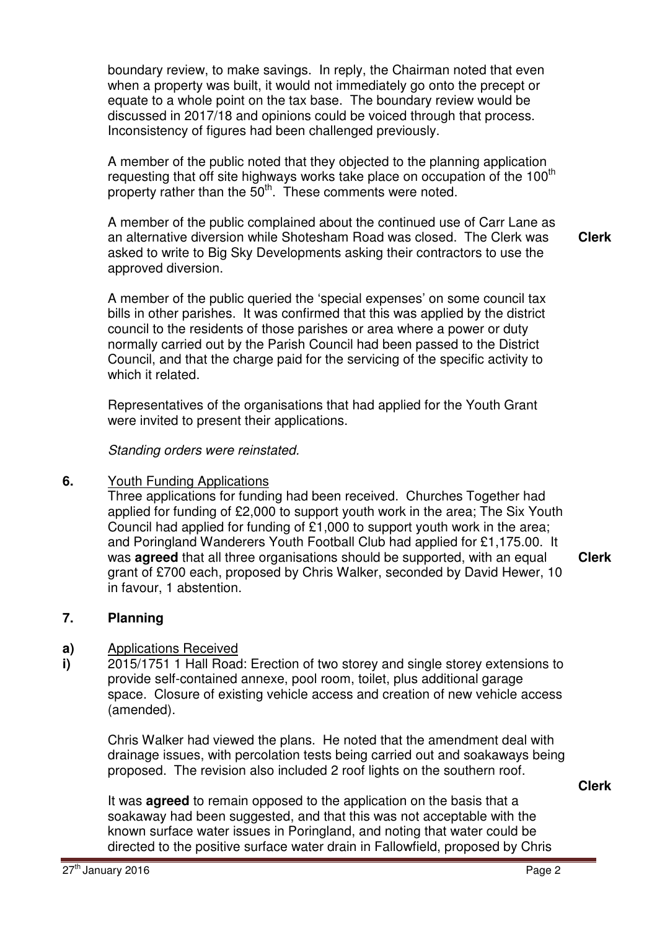boundary review, to make savings. In reply, the Chairman noted that even when a property was built, it would not immediately go onto the precept or equate to a whole point on the tax base. The boundary review would be discussed in 2017/18 and opinions could be voiced through that process. Inconsistency of figures had been challenged previously.

A member of the public noted that they objected to the planning application requesting that off site highways works take place on occupation of the  $100<sup>th</sup>$ property rather than the 50<sup>th</sup>. These comments were noted.

A member of the public complained about the continued use of Carr Lane as an alternative diversion while Shotesham Road was closed. The Clerk was asked to write to Big Sky Developments asking their contractors to use the approved diversion. **Clerk**

A member of the public queried the 'special expenses' on some council tax bills in other parishes. It was confirmed that this was applied by the district council to the residents of those parishes or area where a power or duty normally carried out by the Parish Council had been passed to the District Council, and that the charge paid for the servicing of the specific activity to which it related.

Representatives of the organisations that had applied for the Youth Grant were invited to present their applications.

Standing orders were reinstated.

### **6.** Youth Funding Applications

Three applications for funding had been received. Churches Together had applied for funding of £2,000 to support youth work in the area; The Six Youth Council had applied for funding of £1,000 to support youth work in the area; and Poringland Wanderers Youth Football Club had applied for £1,175.00. It was **agreed** that all three organisations should be supported, with an equal grant of £700 each, proposed by Chris Walker, seconded by David Hewer, 10 in favour, 1 abstention.

**Clerk**

### **7. Planning**

#### **a)**  Applications Received

**i)**  2015/1751 1 Hall Road: Erection of two storey and single storey extensions to provide self-contained annexe, pool room, toilet, plus additional garage space. Closure of existing vehicle access and creation of new vehicle access (amended).

Chris Walker had viewed the plans. He noted that the amendment deal with drainage issues, with percolation tests being carried out and soakaways being proposed. The revision also included 2 roof lights on the southern roof.

**Clerk**

It was **agreed** to remain opposed to the application on the basis that a soakaway had been suggested, and that this was not acceptable with the known surface water issues in Poringland, and noting that water could be directed to the positive surface water drain in Fallowfield, proposed by Chris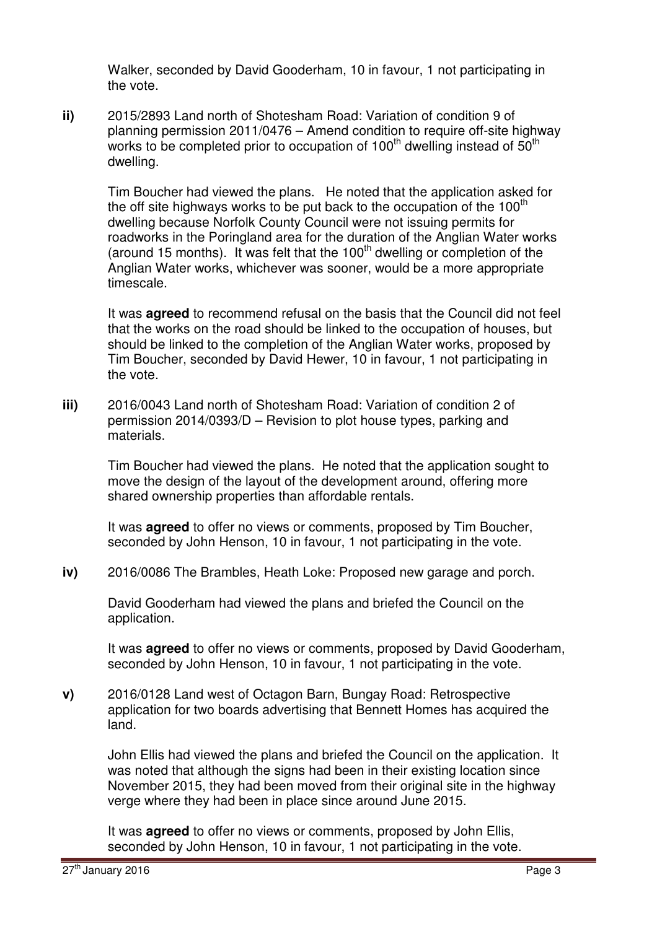Walker, seconded by David Gooderham, 10 in favour, 1 not participating in the vote.

**ii)** 2015/2893 Land north of Shotesham Road: Variation of condition 9 of planning permission 2011/0476 – Amend condition to require off-site highway works to be completed prior to occupation of 100<sup>th</sup> dwelling instead of  $50<sup>th</sup>$ dwelling.

Tim Boucher had viewed the plans. He noted that the application asked for the off site highways works to be put back to the occupation of the  $100<sup>th</sup>$ dwelling because Norfolk County Council were not issuing permits for roadworks in the Poringland area for the duration of the Anglian Water works (around 15 months). It was felt that the  $100<sup>th</sup>$  dwelling or completion of the Anglian Water works, whichever was sooner, would be a more appropriate timescale.

It was **agreed** to recommend refusal on the basis that the Council did not feel that the works on the road should be linked to the occupation of houses, but should be linked to the completion of the Anglian Water works, proposed by Tim Boucher, seconded by David Hewer, 10 in favour, 1 not participating in the vote.

**iii)** 2016/0043 Land north of Shotesham Road: Variation of condition 2 of permission 2014/0393/D – Revision to plot house types, parking and materials.

> Tim Boucher had viewed the plans. He noted that the application sought to move the design of the layout of the development around, offering more shared ownership properties than affordable rentals.

It was **agreed** to offer no views or comments, proposed by Tim Boucher, seconded by John Henson, 10 in favour, 1 not participating in the vote.

**iv)** 2016/0086 The Brambles, Heath Loke: Proposed new garage and porch.

David Gooderham had viewed the plans and briefed the Council on the application.

It was **agreed** to offer no views or comments, proposed by David Gooderham, seconded by John Henson, 10 in favour, 1 not participating in the vote.

**v)** 2016/0128 Land west of Octagon Barn, Bungay Road: Retrospective application for two boards advertising that Bennett Homes has acquired the land.

John Ellis had viewed the plans and briefed the Council on the application. It was noted that although the signs had been in their existing location since November 2015, they had been moved from their original site in the highway verge where they had been in place since around June 2015.

It was **agreed** to offer no views or comments, proposed by John Ellis, seconded by John Henson, 10 in favour, 1 not participating in the vote.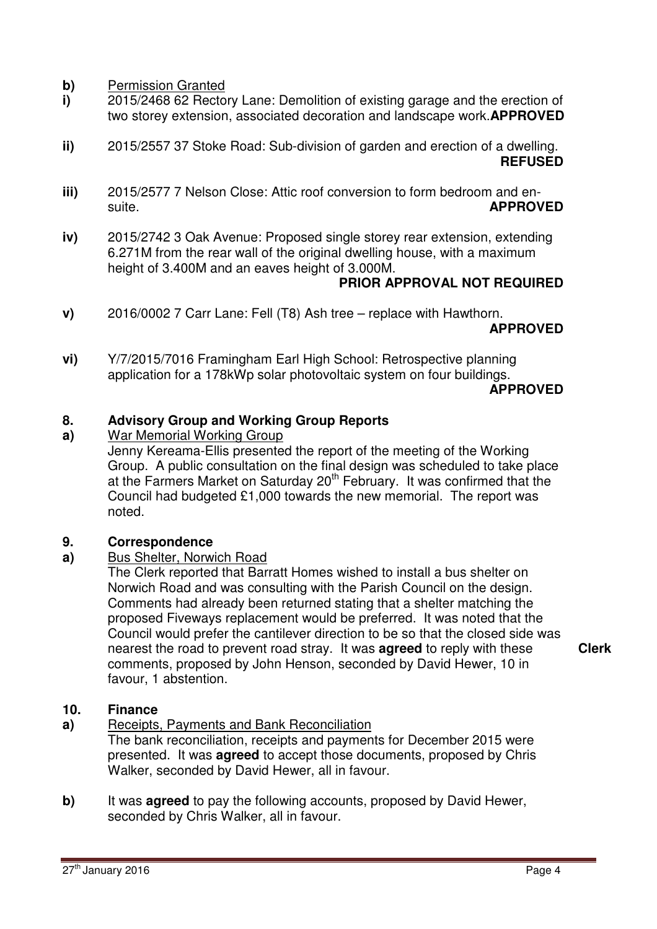**b)** Permission Granted

- **i)**  2015/2468 62 Rectory Lane: Demolition of existing garage and the erection of two storey extension, associated decoration and landscape work.**APPROVED**
- **ii)**  2015/2557 37 Stoke Road: Sub-division of garden and erection of a dwelling. **REFUSED**
- **iii)**  2015/2577 7 Nelson Close: Attic roof conversion to form bedroom and ensuite. **APPROVED**
- **iv)**  2015/2742 3 Oak Avenue: Proposed single storey rear extension, extending 6.271M from the rear wall of the original dwelling house, with a maximum height of 3.400M and an eaves height of 3.000M.

### **PRIOR APPROVAL NOT REQUIRED**

**v)**  2016/0002 7 Carr Lane: Fell (T8) Ash tree – replace with Hawthorn.

**APPROVED** 

**vi)**  Y/7/2015/7016 Framingham Earl High School: Retrospective planning application for a 178kWp solar photovoltaic system on four buildings. **APPROVED**

### **8. Advisory Group and Working Group Reports**

### **a)**  War Memorial Working Group

Jenny Kereama-Ellis presented the report of the meeting of the Working Group. A public consultation on the final design was scheduled to take place at the Farmers Market on Saturday 20<sup>th</sup> February. It was confirmed that the Council had budgeted £1,000 towards the new memorial. The report was noted.

### **9. Correspondence**

### **a)**  Bus Shelter, Norwich Road

The Clerk reported that Barratt Homes wished to install a bus shelter on Norwich Road and was consulting with the Parish Council on the design. Comments had already been returned stating that a shelter matching the proposed Fiveways replacement would be preferred. It was noted that the Council would prefer the cantilever direction to be so that the closed side was nearest the road to prevent road stray. It was **agreed** to reply with these comments, proposed by John Henson, seconded by David Hewer, 10 in favour, 1 abstention.

**Clerk**

### **10. Finance**

**a)**  Receipts, Payments and Bank Reconciliation

The bank reconciliation, receipts and payments for December 2015 were presented. It was **agreed** to accept those documents, proposed by Chris Walker, seconded by David Hewer, all in favour.

**b)** It was **agreed** to pay the following accounts, proposed by David Hewer, seconded by Chris Walker, all in favour.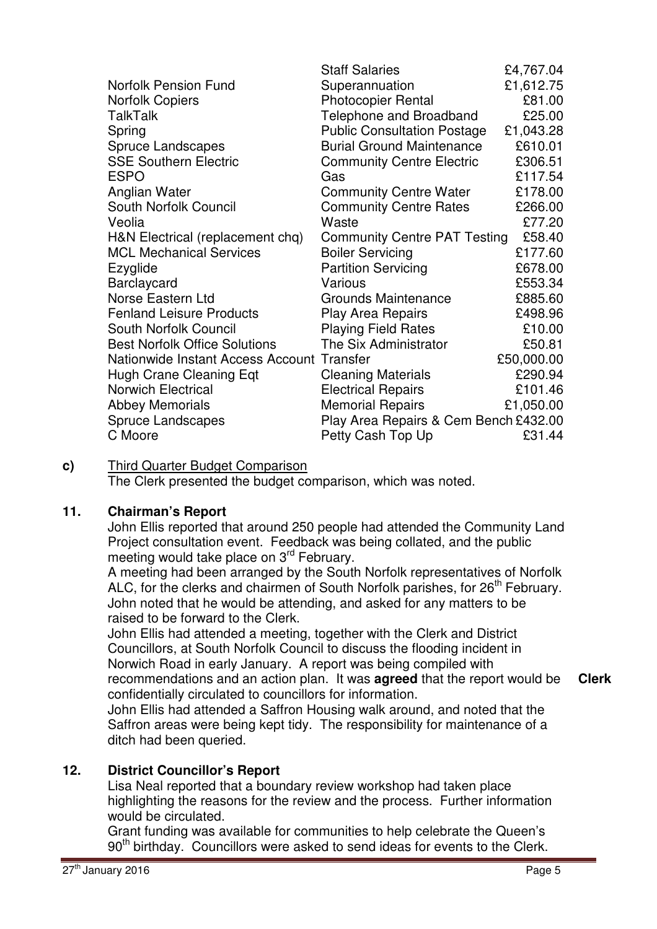|                                            | <b>Staff Salaries</b>                 | £4,767.04  |
|--------------------------------------------|---------------------------------------|------------|
| <b>Norfolk Pension Fund</b>                | Superannuation                        | £1,612.75  |
| <b>Norfolk Copiers</b>                     | <b>Photocopier Rental</b>             | £81.00     |
| <b>TalkTalk</b>                            | Telephone and Broadband               | £25.00     |
| Spring                                     | <b>Public Consultation Postage</b>    | £1,043.28  |
| <b>Spruce Landscapes</b>                   | <b>Burial Ground Maintenance</b>      | £610.01    |
| <b>SSE Southern Electric</b>               | <b>Community Centre Electric</b>      | £306.51    |
| <b>ESPO</b>                                | Gas                                   | £117.54    |
| Anglian Water                              | <b>Community Centre Water</b>         | £178.00    |
| South Norfolk Council                      | <b>Community Centre Rates</b>         | £266.00    |
| Veolia                                     | Waste                                 | £77.20     |
| H&N Electrical (replacement chq)           | <b>Community Centre PAT Testing</b>   | £58.40     |
| <b>MCL Mechanical Services</b>             | <b>Boiler Servicing</b>               | £177.60    |
| Ezyglide                                   | <b>Partition Servicing</b>            | £678.00    |
| Barclaycard                                | Various                               | £553.34    |
| Norse Eastern Ltd                          | Grounds Maintenance                   | £885.60    |
| <b>Fenland Leisure Products</b>            | <b>Play Area Repairs</b>              | £498.96    |
| South Norfolk Council                      | <b>Playing Field Rates</b>            | £10.00     |
| <b>Best Norfolk Office Solutions</b>       | The Six Administrator                 | £50.81     |
| Nationwide Instant Access Account Transfer |                                       | £50,000.00 |
| Hugh Crane Cleaning Eqt                    | <b>Cleaning Materials</b>             | £290.94    |
| <b>Norwich Electrical</b>                  | <b>Electrical Repairs</b>             | £101.46    |
| <b>Abbey Memorials</b>                     | <b>Memorial Repairs</b>               | £1,050.00  |
| <b>Spruce Landscapes</b>                   | Play Area Repairs & Cem Bench £432.00 |            |
| C Moore                                    | Petty Cash Top Up                     | £31.44     |

**c)** Third Quarter Budget Comparison

The Clerk presented the budget comparison, which was noted.

# **11. Chairman's Report**

John Ellis reported that around 250 people had attended the Community Land Project consultation event. Feedback was being collated, and the public meeting would take place on 3<sup>rd</sup> February.

A meeting had been arranged by the South Norfolk representatives of Norfolk ALC, for the clerks and chairmen of South Norfolk parishes, for  $26<sup>th</sup>$  February. John noted that he would be attending, and asked for any matters to be raised to be forward to the Clerk.

John Ellis had attended a meeting, together with the Clerk and District Councillors, at South Norfolk Council to discuss the flooding incident in Norwich Road in early January. A report was being compiled with recommendations and an action plan. It was **agreed** that the report would be confidentially circulated to councillors for information. **Clerk**

John Ellis had attended a Saffron Housing walk around, and noted that the Saffron areas were being kept tidy. The responsibility for maintenance of a ditch had been queried.

# **12. District Councillor's Report**

Lisa Neal reported that a boundary review workshop had taken place highlighting the reasons for the review and the process. Further information would be circulated.

Grant funding was available for communities to help celebrate the Queen's  $90<sup>th</sup>$  birthday. Councillors were asked to send ideas for events to the Clerk.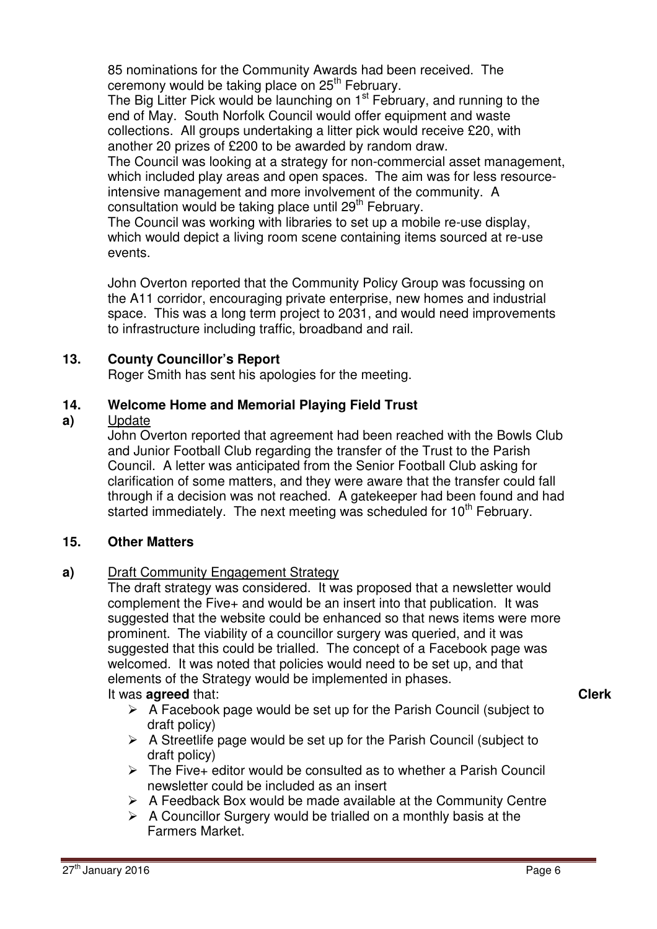85 nominations for the Community Awards had been received. The ceremony would be taking place on  $25<sup>th</sup>$  February.

The Big Litter Pick would be launching on 1<sup>st</sup> February, and running to the end of May. South Norfolk Council would offer equipment and waste collections. All groups undertaking a litter pick would receive £20, with another 20 prizes of £200 to be awarded by random draw.

The Council was looking at a strategy for non-commercial asset management, which included play areas and open spaces. The aim was for less resourceintensive management and more involvement of the community. A consultation would be taking place until 29<sup>th</sup> February.

The Council was working with libraries to set up a mobile re-use display, which would depict a living room scene containing items sourced at re-use events.

John Overton reported that the Community Policy Group was focussing on the A11 corridor, encouraging private enterprise, new homes and industrial space. This was a long term project to 2031, and would need improvements to infrastructure including traffic, broadband and rail.

# **13. County Councillor's Report**

Roger Smith has sent his apologies for the meeting.

### **14. Welcome Home and Memorial Playing Field Trust**

### **a)**  Update

John Overton reported that agreement had been reached with the Bowls Club and Junior Football Club regarding the transfer of the Trust to the Parish Council. A letter was anticipated from the Senior Football Club asking for clarification of some matters, and they were aware that the transfer could fall through if a decision was not reached. A gatekeeper had been found and had started immediately. The next meeting was scheduled for  $10<sup>th</sup>$  February.

# **15. Other Matters**

# **a)** Draft Community Engagement Strategy

The draft strategy was considered. It was proposed that a newsletter would complement the Five+ and would be an insert into that publication. It was suggested that the website could be enhanced so that news items were more prominent. The viability of a councillor surgery was queried, and it was suggested that this could be trialled. The concept of a Facebook page was welcomed. It was noted that policies would need to be set up, and that elements of the Strategy would be implemented in phases.

# It was **agreed** that:

- $\triangleright$  A Facebook page would be set up for the Parish Council (subject to draft policy)
- $\triangleright$  A Streetlife page would be set up for the Parish Council (subject to draft policy)
- $\triangleright$  The Five+ editor would be consulted as to whether a Parish Council newsletter could be included as an insert
- $\triangleright$  A Feedback Box would be made available at the Community Centre
- $\triangleright$  A Councillor Surgery would be trialled on a monthly basis at the Farmers Market.

**Clerk**